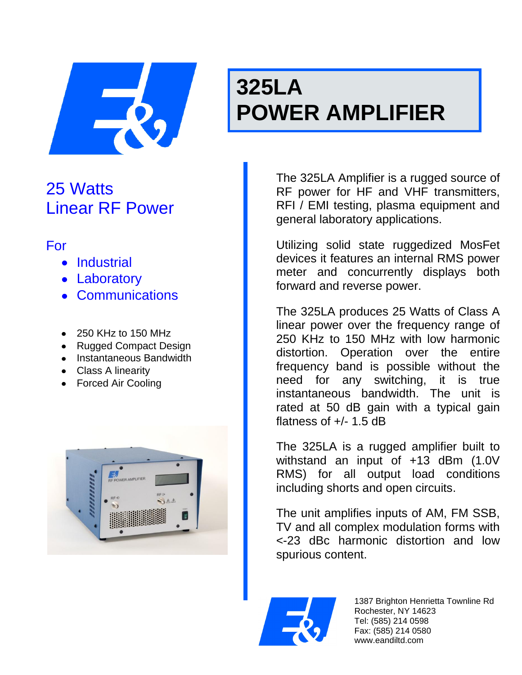

# **325LA POWER AMPLIFIER**

## 25 Watts Linear RF Power

## For

- Industrial
- Laboratory
- Communications
- 250 KHz to 150 MHz
- Rugged Compact Design
- Instantaneous Bandwidth
- Class A linearity
- Forced Air Cooling



The 325LA Amplifier is a rugged source of RF power for HF and VHF transmitters, RFI / EMI testing, plasma equipment and general laboratory applications.

Utilizing solid state ruggedized MosFet devices it features an internal RMS power meter and concurrently displays both forward and reverse power.

The 325LA produces 25 Watts of Class A linear power over the frequency range of 250 KHz to 150 MHz with low harmonic distortion. Operation over the entire frequency band is possible without the need for any switching, it is true instantaneous bandwidth. The unit is rated at 50 dB gain with a typical gain flatness of  $+/- 1.5$  dB

The 325LA is a rugged amplifier built to withstand an input of +13 dBm (1.0V RMS) for all output load conditions including shorts and open circuits.

The unit amplifies inputs of AM, FM SSB, TV and all complex modulation forms with <-23 dBc harmonic distortion and low spurious content.



1387 Brighton Henrietta Townline Rd Rochester, NY 14623 Tel: (585) 214 0598 Fax: (585) 214 0580 www.eandiltd.com